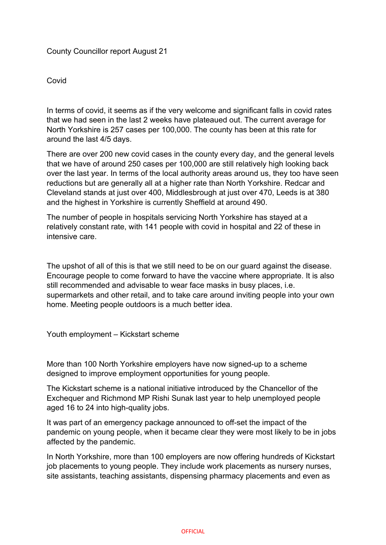### County Councillor report August 21

### Covid

In terms of covid, it seems as if the very welcome and significant falls in covid rates that we had seen in the last 2 weeks have plateaued out. The current average for North Yorkshire is 257 cases per 100,000. The county has been at this rate for around the last 4/5 days.

There are over 200 new covid cases in the county every day, and the general levels that we have of around 250 cases per 100,000 are still relatively high looking back over the last year. In terms of the local authority areas around us, they too have seen reductions but are generally all at a higher rate than North Yorkshire. Redcar and Cleveland stands at just over 400, Middlesbrough at just over 470, Leeds is at 380 and the highest in Yorkshire is currently Sheffield at around 490.

The number of people in hospitals servicing North Yorkshire has stayed at a relatively constant rate, with 141 people with covid in hospital and 22 of these in intensive care.

The upshot of all of this is that we still need to be on our guard against the disease. Encourage people to come forward to have the vaccine where appropriate. It is also still recommended and advisable to wear face masks in busy places, i.e. supermarkets and other retail, and to take care around inviting people into your own home. Meeting people outdoors is a much better idea.

Youth employment – Kickstart scheme

More than 100 North Yorkshire employers have now signed-up to a scheme designed to improve employment opportunities for young people.

The Kickstart scheme is a national initiative introduced by the Chancellor of the Exchequer and Richmond MP Rishi Sunak last year to help unemployed people aged 16 to 24 into high-quality jobs.

It was part of an emergency package announced to off-set the impact of the pandemic on young people, when it became clear they were most likely to be in jobs affected by the pandemic.

In North Yorkshire, more than 100 employers are now offering hundreds of Kickstart job placements to young people. They include work placements as nursery nurses, site assistants, teaching assistants, dispensing pharmacy placements and even as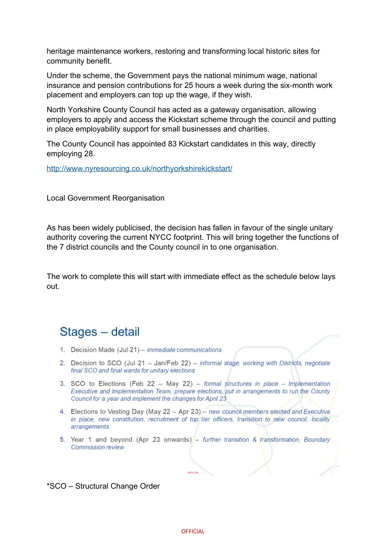heritage maintenance workers, restoring and transforming local historic sites for community benefit.

Under the scheme, the Government pays the national minimum wage, national insurance and pension contributions for 25 hours a week during the six-month work placement and employers can top up the wage, if they wish.

North Yorkshire County Council has acted as a gateway organisation, allowing employers to apply and access the Kickstart scheme through the council and putting in place employability support for small businesses and charities.

The County Council has appointed 83 Kickstart candidates in this way, directly employing 28.

<http://www.nyresourcing.co.uk/northyorkshirekickstart/>

Local Government Reorganisation

As has been widely publicised, the decision has fallen in favour of the single unitary authority covering the current NYCC footprint. This will bring together the functions of the 7 district councils and the County council in to one organisation.

The work to complete this will start with immediate effect as the schedule below lays out.

## Stages - detail

- 1. Decision Made (Jul 21) immediate communications
- 2. Decision to SCO (Jul 21 Jan/Feb 22) informal stage, working with Districts, negotiate final SCO and final wards for unitary elections
- 3. SCO to Elections (Feb 22 May 22) formal structures in place Implementation Executive and Implementation Team, prepare elections, put in arrangements to run the County Council for a year and implement the changes for April 23
- 4. Elections to Vesting Day (May 22 Apr 23) new council members elected and Executive in place, new constitution, recruitment of top tier officers, transition to new council, locality arrangements
- 5. Year 1 and beyond (Apr 23 onwards) further transition & transformation, Boundary Commission review

OFFICIAL

### \*SCO – Structural Change Order